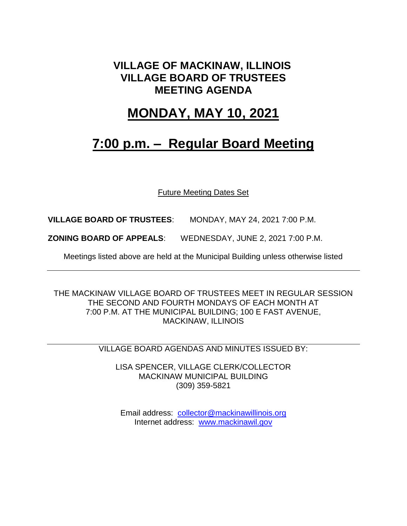#### **VILLAGE OF MACKINAW, ILLINOIS VILLAGE BOARD OF TRUSTEES MEETING AGENDA**

### **MONDAY, MAY 10, 2021**

## **7:00 p.m. – Regular Board Meeting**

Future Meeting Dates Set

**VILLAGE BOARD OF TRUSTEES**: MONDAY, MAY 24, 2021 7:00 P.M.

**ZONING BOARD OF APPEALS**: WEDNESDAY, JUNE 2, 2021 7:00 P.M.

Meetings listed above are held at the Municipal Building unless otherwise listed

THE MACKINAW VILLAGE BOARD OF TRUSTEES MEET IN REGULAR SESSION THE SECOND AND FOURTH MONDAYS OF EACH MONTH AT 7:00 P.M. AT THE MUNICIPAL BUILDING; 100 E FAST AVENUE, MACKINAW, ILLINOIS

VILLAGE BOARD AGENDAS AND MINUTES ISSUED BY:

LISA SPENCER, VILLAGE CLERK/COLLECTOR MACKINAW MUNICIPAL BUILDING (309) 359-5821

Email address: [collector@mackinawillinois.org](mailto:collector@mackinawillinois.org) Internet address: [www.mackinawil.gov](http://www.mackinawil.gov/)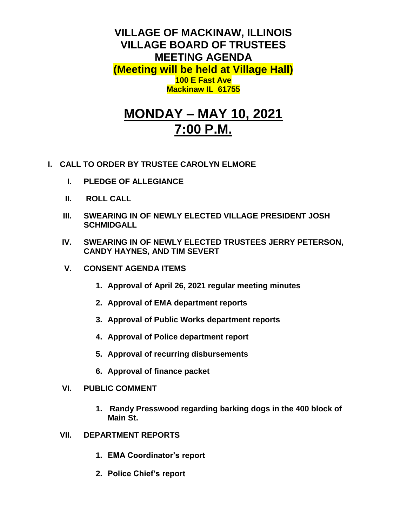**VILLAGE OF MACKINAW, ILLINOIS VILLAGE BOARD OF TRUSTEES MEETING AGENDA (Meeting will be held at Village Hall) 100 E Fast Ave Mackinaw IL 61755**

# **MONDAY – MAY 10, 2021 7:00 P.M.**

- **I. CALL TO ORDER BY TRUSTEE CAROLYN ELMORE**
	- **I. PLEDGE OF ALLEGIANCE**
	- **II. ROLL CALL**
	- **III. SWEARING IN OF NEWLY ELECTED VILLAGE PRESIDENT JOSH SCHMIDGALL**
	- **IV. SWEARING IN OF NEWLY ELECTED TRUSTEES JERRY PETERSON, CANDY HAYNES, AND TIM SEVERT**
	- **V. CONSENT AGENDA ITEMS** 
		- **1. Approval of April 26, 2021 regular meeting minutes**
		- **2. Approval of EMA department reports**
		- **3. Approval of Public Works department reports**
		- **4. Approval of Police department report**
		- **5. Approval of recurring disbursements**
		- **6. Approval of finance packet**
	- **VI. PUBLIC COMMENT**
		- **1. Randy Presswood regarding barking dogs in the 400 block of Main St.**
	- **VII. DEPARTMENT REPORTS** 
		- **1. EMA Coordinator's report**
		- **2. Police Chief's report**